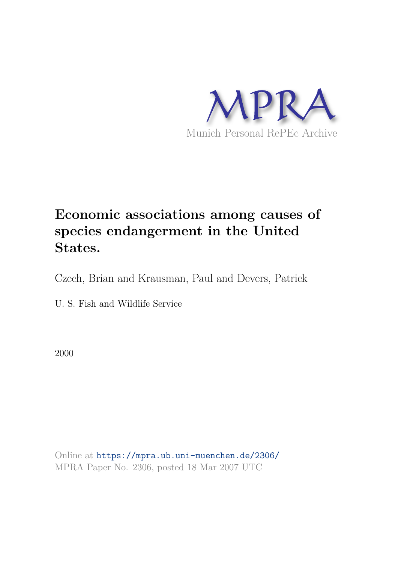

# **Economic associations among causes of species endangerment in the United States.**

Czech, Brian and Krausman, Paul and Devers, Patrick

U. S. Fish and Wildlife Service

2000

Online at https://mpra.ub.uni-muenchen.de/2306/ MPRA Paper No. 2306, posted 18 Mar 2007 UTC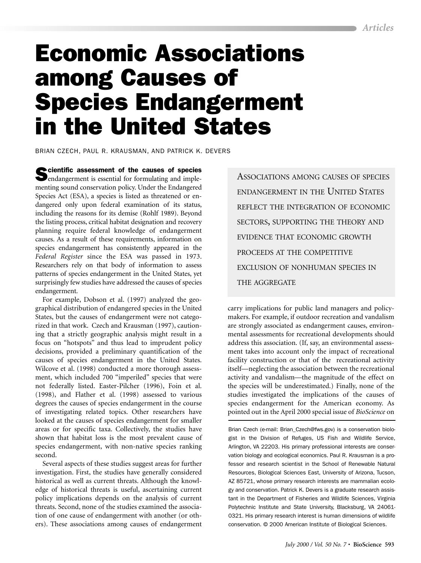# Economic Associations among Causes of Species Endangerment in the United States

BRIAN CZECH, PAUL R. KRAUSMAN, AND PATRICK K. DEVERS

Scientific assessment of the causes of species<br>
Sendangerment is essential for formulating and impleendangerment is essential for formulating and implementing sound conservation policy. Under the Endangered Species Act (ESA), a species is listed as threatened or endangered only upon federal examination of its status, including the reasons for its demise (Rohlf 1989). Beyond the listing process, critical habitat designation and recovery planning require federal knowledge of endangerment causes. As a result of these requirements, information on species endangerment has consistently appeared in the *Federal Register* since the ESA was passed in 1973. Researchers rely on that body of information to assess patterns of species endangerment in the United States, yet surprisingly few studies have addressed the causes of species endangerment.

For example, Dobson et al. (1997) analyzed the geographical distribution of endangered species in the United States, but the causes of endangerment were not categorized in that work. Czech and Krausman (1997), cautioning that a strictly geographic analysis might result in a focus on "hotspots" and thus lead to imprudent policy decisions, provided a preliminary quantification of the causes of species endangerment in the United States. Wilcove et al. (1998) conducted a more thorough assessment, which included 700 "imperiled" species that were not federally listed. Easter-Pilcher (1996), Foin et al. (1998), and Flather et al. (1998) assessed to various degrees the causes of species endangerment in the course of investigating related topics. Other researchers have looked at the causes of species endangerment for smaller areas or for specific taxa. Collectively, the studies have shown that habitat loss is the most prevalent cause of species endangerment, with non-native species ranking second.

Several aspects of these studies suggest areas for further investigation. First, the studies have generally considered historical as well as current threats. Although the knowledge of historical threats is useful, ascertaining current policy implications depends on the analysis of current threats. Second, none of the studies examined the association of one cause of endangerment with another (or others). These associations among causes of endangerment

ASSOCIATIONS AMONG CAUSES OF SPECIES ENDANGERMENT IN THE UNITED STATES REFLECT THE INTEGRATION OF ECONOMIC SECTORS, SUPPORTING THE THEORY AND EVIDENCE THAT ECONOMIC GROWTH PROCEEDS AT THE COMPETITIVE EXCLUSION OF NONHUMAN SPECIES IN THE AGGREGATE

carry implications for public land managers and policymakers. For example, if outdoor recreation and vandalism are strongly associated as endangerment causes, environmental assessments for recreational developments should address this association. (If, say, an environmental assessment takes into account only the impact of recreational facility construction or that of the recreational activity itself—neglecting the association between the recreational activity and vandalism—the magnitude of the effect on the species will be underestimated.) Finally, none of the studies investigated the implications of the causes of species endangerment for the American economy. As pointed out in the April 2000 special issue of *BioScience* on

Brian Czech (e-mail: Brian\_Czech@fws.gov) is a conservation biologist in the Division of Refuges, US Fish and Wildlife Service, Arlington, VA 22203. His primary professional interests are conservation biology and ecological economics. Paul R. Krausman is a professor and research scientist in the School of Renewable Natural Resources, Biological Sciences East, University of Arizona, Tucson, AZ 85721, whose primary research interests are mammalian ecology and conservation. Patrick K. Devers is a graduate research assistant in the Department of Fisheries and Wildlife Sciences, Virginia Polytechnic Institute and State University, Blacksburg, VA 24061- 0321. His primary research interest is human dimensions of wildlife conservation. © 2000 American Institute of Biological Sciences.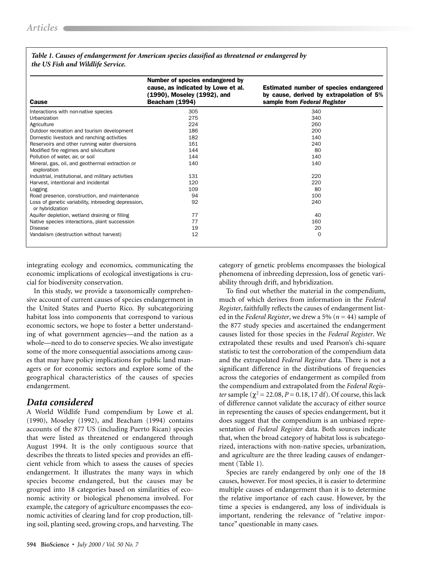| Cause                                                                   | Number of species endangered by<br>cause, as indicated by Lowe et al.<br>(1990), Moseley (1992), and<br>Beacham (1994) | Estimated number of species endangered<br>by cause, derived by extrapolation of 5%<br>sample from Federal Register |  |  |  |  |  |
|-------------------------------------------------------------------------|------------------------------------------------------------------------------------------------------------------------|--------------------------------------------------------------------------------------------------------------------|--|--|--|--|--|
| Interactions with non-native species                                    | 305                                                                                                                    | 340                                                                                                                |  |  |  |  |  |
| Urbanization                                                            | 275                                                                                                                    | 340                                                                                                                |  |  |  |  |  |
| Agriculture                                                             | 224                                                                                                                    | 260                                                                                                                |  |  |  |  |  |
| Outdoor recreation and tourism development                              | 186                                                                                                                    | 200                                                                                                                |  |  |  |  |  |
| Domestic livestock and ranching activities                              | 182                                                                                                                    | 140                                                                                                                |  |  |  |  |  |
| Reservoirs and other running water diversions                           | 161                                                                                                                    | 240                                                                                                                |  |  |  |  |  |
| Modified fire regimes and silviculture                                  | 144                                                                                                                    | 80                                                                                                                 |  |  |  |  |  |
| Pollution of water, air, or soil                                        | 144                                                                                                                    | 140                                                                                                                |  |  |  |  |  |
| Mineral, gas, oil, and geothermal extraction or<br>exploration          | 140                                                                                                                    | 140                                                                                                                |  |  |  |  |  |
| Industrial, institutional, and military activities                      | 131                                                                                                                    | 220                                                                                                                |  |  |  |  |  |
| Harvest, intentional and incidental                                     | 120                                                                                                                    | 220                                                                                                                |  |  |  |  |  |
| Logging                                                                 | 109                                                                                                                    | 80                                                                                                                 |  |  |  |  |  |
| Road presence, construction, and maintenance                            | 94                                                                                                                     | 100                                                                                                                |  |  |  |  |  |
| Loss of genetic variability, inbreeding depression,<br>or hybridization | 92                                                                                                                     | 240                                                                                                                |  |  |  |  |  |
| Aquifer depletion, wetland draining or filling                          | 77                                                                                                                     | 40                                                                                                                 |  |  |  |  |  |
| Native species interactions, plant succession                           | 77                                                                                                                     | 160                                                                                                                |  |  |  |  |  |
| Disease                                                                 | 19                                                                                                                     | 20                                                                                                                 |  |  |  |  |  |
| Vandalism (destruction without harvest)                                 | 12                                                                                                                     | 0                                                                                                                  |  |  |  |  |  |

*Table 1. Causes of endangerment for American species classified as threatened or endangered by the US Fish and Wildlife Service.*

integrating ecology and economics, communicating the economic implications of ecological investigations is crucial for biodiversity conservation.

In this study, we provide a taxonomically comprehensive account of current causes of species endangerment in the United States and Puerto Rico. By subcategorizing habitat loss into components that correspond to various economic sectors, we hope to foster a better understanding of what government agencies—and the nation as a whole—need to do to conserve species. We also investigate some of the more consequential associations among causes that may have policy implications for public land managers or for economic sectors and explore some of the geographical characteristics of the causes of species endangerment.

# *Data considered*

A World Wildlife Fund compendium by Lowe et al. (1990), Moseley (1992), and Beacham (1994) contains accounts of the 877 US (including Puerto Rican) species that were listed as threatened or endangered through August 1994. It is the only contiguous source that describes the threats to listed species and provides an efficient vehicle from which to assess the causes of species endangerment. It illustrates the many ways in which species become endangered, but the causes may be grouped into 18 categories based on similarities of economic activity or biological phenomena involved. For example, the category of agriculture encompasses the economic activities of clearing land for crop production, tilling soil, planting seed, growing crops, and harvesting. The

category of genetic problems encompasses the biological phenomena of inbreeding depression, loss of genetic variability through drift, and hybridization.

To find out whether the material in the compendium, much of which derives from information in the *Federal Register*, faithfully reflects the causes of endangerment listed in the *Federal Register*, we drew a 5% (*n* = 44) sample of the 877 study species and ascertained the endangerment causes listed for those species in the *Federal Register*. We extrapolated these results and used Pearson's chi-square statistic to test the corroboration of the compendium data and the extrapolated *Federal Register* data. There is not a significant difference in the distributions of frequencies across the categories of endangerment as compiled from the compendium and extrapolated from the *Federal Register* sample ( $\chi^2$  = 22.08, *P* = 0.18, 17 df). Of course, this lack of difference cannot validate the accuracy of either source in representing the causes of species endangerment, but it does suggest that the compendium is an unbiased representation of *Federal Register* data. Both sources indicate that, when the broad category of habitat loss is subcategorized, interactions with non-native species, urbanization, and agriculture are the three leading causes of endangerment (Table 1).

Species are rarely endangered by only one of the 18 causes, however. For most species, it is easier to determine multiple causes of endangerment than it is to determine the relative importance of each cause. However, by the time a species is endangered, any loss of individuals is important, rendering the relevance of "relative importance" questionable in many cases.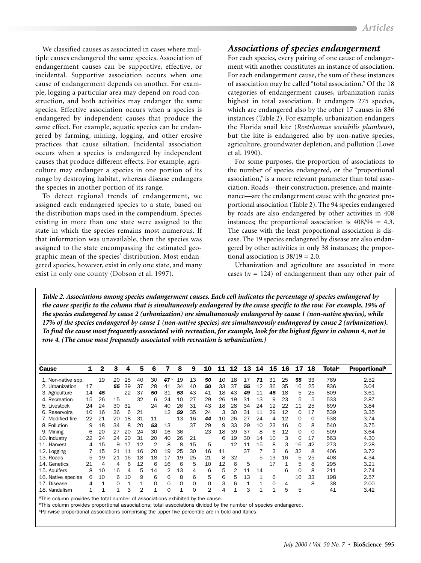We classified causes as associated in cases where multiple causes endangered the same species. Association of endangerment causes can be supportive, effective, or incidental. Supportive association occurs when one cause of endangerment depends on another. For example, logging a particular area may depend on road construction, and both activities may endanger the same species. Effective association occurs when a species is endangered by independent causes that produce the same effect. For example, aquatic species can be endangered by farming, mining, logging, and other erosive practices that cause siltation. Incidental association occurs when a species is endangered by independent causes that produce different effects. For example, agriculture may endanger a species in one portion of its range by destroying habitat, whereas disease endangers the species in another portion of its range.

To detect regional trends of endangerment, we assigned each endangered species to a state, based on the distribution maps used in the compendium. Species existing in more than one state were assigned to the state in which the species remains most numerous. If that information was unavailable, then the species was assigned to the state encompassing the estimated geographic mean of the species' distribution. Most endangered species, however, exist in only one state, and many exist in only one county (Dobson et al. 1997).

# *Associations of species endangerment*

For each species, every pairing of one cause of endangerment with another constitutes an instance of association. For each endangerment cause, the sum of these instances of association may be called "total association." Of the 18 categories of endangerment causes, urbanization ranks highest in total association. It endangers 275 species, which are endangered also by the other 17 causes in 836 instances (Table 2). For example, urbanization endangers the Florida snail kite (*Rostrhamus sociabilis plumbeus*), but the kite is endangered also by non-native species, agriculture, groundwater depletion, and pollution (Lowe et al. 1990).

For some purposes, the proportion of associations to the number of species endangered, or the "proportional association," is a more relevant parameter than total association. Roads—their construction, presence, and maintenance—are the endangerment cause with the greatest proportional association (Table 2). The 94 species endangered by roads are also endangered by other activities in 408 instances; the proportional association is 408/94 = 4.3. The cause with the least proportional association is disease. The 19 species endangered by disease are also endangered by other activities in only 38 instances; the proportional association is  $38/19 = 2.0$ .

Urbanization and agriculture are associated in more cases  $(n = 124)$  of endangerment than any other pair of

*Table 2. Associations among species endangerment causes. Each cell indicates the percentage of species endangered by the cause specific to the column that is simultaneously endangered by the cause specific to the row. For example, 19% of the species endangered by cause 2 (urbanization) are simultaneously endangered by cause 1 (non-native species), while 17% of the species endangered by cause 1 (non-native species) are simultaneously endangered by cause 2 (urbanization). To find the cause most frequently associated with recreation, for example, look for the highest figure in column 4, not in row 4. (The cause most frequently associated with recreation is urbanization.)*

| Cause              | 1  | $\mathbf{2}$ | 3        | 4  | 5            | 6              | 7            | 8        | 9        | 10 | 11 | 12 | 13 | 14           | 15       | 16           | 17       | 18       | <b>Total</b> <sup>a</sup> | <b>Proportional</b> <sup>b</sup> |
|--------------------|----|--------------|----------|----|--------------|----------------|--------------|----------|----------|----|----|----|----|--------------|----------|--------------|----------|----------|---------------------------|----------------------------------|
| 1. Non-native spp. |    | 19           | 20       | 25 | 40           | 30             | 47 $\degree$ | 19       | 13       | 50 | 10 | 18 | 17 | 71           | 31       | 25           | 58       | 33       | 769                       | 2.52                             |
| 2. Urbanization    | 17 |              | 55       | 39 | 37           | 28             | 41           | 34       | 40       | 50 | 33 | 37 | 55 | 12           | 36       | 35           | 16       | 25       | 836                       | 3.04                             |
| 3. Agriculture     | 14 | 45           |          | 22 | 37           | 50             | 31           | 53       | 43       | 41 | 18 | 43 | 49 | 11           | 45       | 18           | 5        | 25       | 809                       | 3.61                             |
| 4. Recreation      | 15 | 26           | 15       |    | 32           | 6              | 24           | 10       | 27       | 29 | 26 | 19 | 31 | 13           | 9        | 23           | 5        | 5        | 533                       | 2.87                             |
| 5. Livestock       | 24 | 24           | 30       | 32 |              | 24             | 40           | 26       | 31       | 43 | 18 | 28 | 34 | 24           | 12       | 22           | 11       | 25       | 699                       | 3.84                             |
| 6. Reservoirs      | 16 | 16           | 36       | 6  | 21           |                | 12           | 59       | 35       | 24 | 3  | 30 | 31 | 11           | 29       | 12           | 0        | 17       | 539                       | 3.35                             |
| 7. Modified fire   | 22 | 21           | 20       | 18 | 31           | 11             |              | 13       | 16       | 44 | 10 | 26 | 27 | 24           | 4        | 12           | $\Omega$ | 0        | 538                       | 3.74                             |
| 8. Pollution       | 9  | 18           | 34       | 8  | 20           | 53             | 13           |          | 37       | 29 | 9  | 33 | 29 | 10           | 23       | 16           | $\Omega$ | 8        | 540                       | 3.75                             |
| 9. Mining          | 6  | 20           | 27       | 20 | 24           | 30             | 16           | 36       |          | 23 | 18 | 39 | 37 | 8            | 6        | 12           | $\Omega$ | $\Omega$ | 509                       | 3.64                             |
| 10. Industry       | 22 | 24           | 24       | 20 | 31           | 20             | 40           | 26       | 21       |    | 6  | 19 | 30 | 14           | 10       | 3            | 0        | 17       | 563                       | 4.30                             |
| 11. Harvest        | 4  | 15           | 9        | 17 | 12           | $\overline{2}$ | 8            | 8        | 15       | 5  |    | 12 | 11 | 15           | 8        | 3            | 16       | 42       | 273                       | 2.28                             |
| 12. Logging        |    | 15           | 21       | 11 | 16           | 20             | 19           | 25       | 30       | 16 | 11 |    | 37 |              | 3        | 6            | 32       | 8        | 406                       | 3.72                             |
| 13. Roads          | 5  | 19           | 21       | 16 | 18           | 18             | 17           | 19       | 25       | 21 | 8  | 32 |    | 5.           | 13       | 16           | 5        | 25       | 408                       | 4.34                             |
| 14. Genetics       | 21 | 4            | 4        | 6  | 12           | 6              | 16           | 6        | 5        | 10 | 12 | 6  | 5  |              | 17       | $\mathbf{1}$ | 5        | 8        | 295                       | 3.21                             |
| 15. Aquifers       | 8  | 10           | 16       | 4  | 5            | 14             | 2            | 13       | 4        | 6  | 5  | 2  | 11 | 14           |          | 6            | $\Omega$ | 8        | 211                       | 2.74                             |
| 16. Native species | 6  | 10           | 6        | 10 | 9            | 6              | 6            | 8        | 6        | 5  | 6  | 5  | 13 | $\mathbf{1}$ | 6        |              | 16       | 33       | 198                       | 2.57                             |
| 17. Disease        | 4  | 1            | $\Omega$ | 1  | $\mathbf{1}$ | 0              | 0            | $\Omega$ | $\Omega$ | O  | 3  | 6  | 1  | 1            | $\Omega$ | 4            |          | 8        | 38                        | 2.00                             |
| 18. Vandalism      |    | 1            |          | 3  | 2            | 1              | 0            |          | $\Omega$ | 2  | 4  |    | 3  |              |          | 5            | 5        |          | 41                        | 3.42                             |

<sup>a</sup>This column provides the total number of associations exhibited by the cause.

<sup>b</sup>This column provides proportional associations; total associations divided by the number of species endangered.

<sup>c</sup>Pairwise proportional associations comprising the upper five percentile are in bold and italics.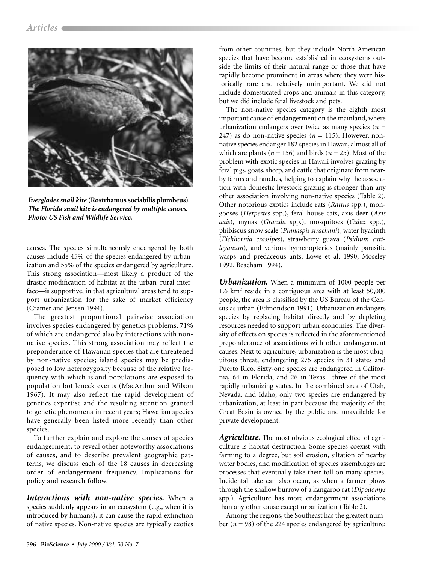

*Everglades snail kite* **(Rostrhamus sociabilis plumbeus)***. The Florida snail kite is endangered by multiple causes. Photo: US Fish and Wildlife Service.*

causes. The species simultaneously endangered by both causes include 45% of the species endangered by urbanization and 55% of the species endangered by agriculture. This strong association—most likely a product of the drastic modification of habitat at the urban–rural interface—is supportive, in that agricultural areas tend to support urbanization for the sake of market efficiency (Cramer and Jensen 1994).

The greatest proportional pairwise association involves species endangered by genetics problems, 71% of which are endangered also by interactions with nonnative species. This strong association may reflect the preponderance of Hawaiian species that are threatened by non-native species; island species may be predisposed to low heterozygosity because of the relative frequency with which island populations are exposed to population bottleneck events (MacArthur and Wilson 1967). It may also reflect the rapid development of genetics expertise and the resulting attention granted to genetic phenomena in recent years; Hawaiian species have generally been listed more recently than other species.

To further explain and explore the causes of species endangerment, to reveal other noteworthy associations of causes, and to describe prevalent geographic patterns, we discuss each of the 18 causes in decreasing order of endangerment frequency. Implications for policy and research follow.

*Interactions with non-native species.* When a species suddenly appears in an ecosystem (e.g., when it is introduced by humans), it can cause the rapid extinction of native species. Non-native species are typically exotics

from other countries, but they include North American species that have become established in ecosystems outside the limits of their natural range or those that have rapidly become prominent in areas where they were historically rare and relatively unimportant. We did not include domesticated crops and animals in this category, but we did include feral livestock and pets.

The non-native species category is the eighth most important cause of endangerment on the mainland, where urbanization endangers over twice as many species ( $n =$ 247) as do non-native species ( $n = 115$ ). However, nonnative species endanger 182 species in Hawaii, almost all of which are plants ( $n = 156$ ) and birds ( $n = 25$ ). Most of the problem with exotic species in Hawaii involves grazing by feral pigs, goats, sheep, and cattle that originate from nearby farms and ranches, helping to explain why the association with domestic livestock grazing is stronger than any other association involving non-native species (Table 2). Other notorious exotics include rats (*Rattus* spp.), mongooses (*Herpestes* spp.), feral house cats, axis deer (*Axis axis*), mynas (*Gracula* spp.), mosquitoes (*Culex* spp.), phibiscus snow scale (*Pinnaspis strachani*), water hyacinth (*Eichhornia crassipes*), strawberry guava (*Psidium cattleyanum*), and various hymenopterids (mainly parasitic wasps and predaceous ants; Lowe et al. 1990, Moseley 1992, Beacham 1994).

*Urbanization.* When a minimum of 1000 people per 1.6 km<sup>2</sup> reside in a contiguous area with at least 50,000 people, the area is classified by the US Bureau of the Census as urban (Edmondson 1991). Urbanization endangers species by replacing habitat directly and by depleting resources needed to support urban economies. The diversity of effects on species is reflected in the aforementioned preponderance of associations with other endangerment causes. Next to agriculture, urbanization is the most ubiquitous threat, endangering 275 species in 31 states and Puerto Rico. Sixty-one species are endangered in California, 64 in Florida, and 26 in Texas—three of the most rapidly urbanizing states. In the combined area of Utah, Nevada, and Idaho, only two species are endangered by urbanization, at least in part because the majority of the Great Basin is owned by the public and unavailable for private development.

*Agriculture.* The most obvious ecological effect of agriculture is habitat destruction. Some species coexist with farming to a degree, but soil erosion, siltation of nearby water bodies, and modification of species assemblages are processes that eventually take their toll on many species. Incidental take can also occur, as when a farmer plows through the shallow burrow of a kangaroo rat (*Dipodomys* spp.). Agriculture has more endangerment associations than any other cause except urbanization (Table 2).

Among the regions, the Southeast has the greatest number ( $n = 98$ ) of the 224 species endangered by agriculture;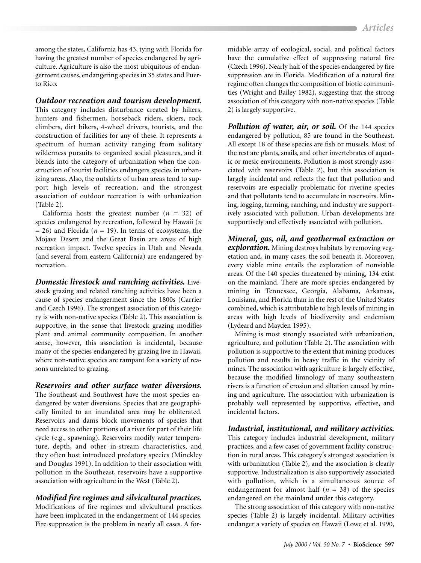among the states, California has 43, tying with Florida for having the greatest number of species endangered by agriculture. Agriculture is also the most ubiquitous of endangerment causes, endangering species in 35 states and Puerto Rico.

#### *Outdoor recreation and tourism development.*

This category includes disturbance created by hikers, hunters and fishermen, horseback riders, skiers, rock climbers, dirt bikers, 4-wheel drivers, tourists, and the construction of facilities for any of these. It represents a spectrum of human activity ranging from solitary wilderness pursuits to organized social pleasures, and it blends into the category of urbanization when the construction of tourist facilities endangers species in urbanizing areas. Also, the outskirts of urban areas tend to support high levels of recreation, and the strongest association of outdoor recreation is with urbanization (Table 2).

California hosts the greatest number  $(n = 32)$  of species endangered by recreation, followed by Hawaii (*n*  $= 26$ ) and Florida ( $n = 19$ ). In terms of ecosystems, the Mojave Desert and the Great Basin are areas of high recreation impact. Twelve species in Utah and Nevada (and several from eastern California) are endangered by recreation.

*Domestic livestock and ranching activities.* Livestock grazing and related ranching activities have been a cause of species endangerment since the 1800s (Carrier and Czech 1996). The strongest association of this category is with non-native species (Table 2). This association is supportive, in the sense that livestock grazing modifies plant and animal community composition. In another sense, however, this association is incidental, because many of the species endangered by grazing live in Hawaii, where non-native species are rampant for a variety of reasons unrelated to grazing.

*Reservoirs and other surface water diversions.* The Southeast and Southwest have the most species endangered by water diversions. Species that are geographically limited to an inundated area may be obliterated. Reservoirs and dams block movements of species that need access to other portions of a river for part of their life cycle (e.g., spawning). Reservoirs modify water temperature, depth, and other in-stream characteristics, and they often host introduced predatory species (Minckley and Douglas 1991). In addition to their association with pollution in the Southeast, reservoirs have a supportive association with agriculture in the West (Table 2).

#### *Modified fire regimes and silvicultural practices.*

Modifications of fire regimes and silvicultural practices have been implicated in the endangerment of 144 species. Fire suppression is the problem in nearly all cases. A formidable array of ecological, social, and political factors have the cumulative effect of suppressing natural fire (Czech 1996). Nearly half of the species endangered by fire suppression are in Florida. Modification of a natural fire regime often changes the composition of biotic communities (Wright and Bailey 1982), suggesting that the strong association of this category with non-native species (Table 2) is largely supportive.

**Pollution of water, air, or soil.** Of the 144 species endangered by pollution, 85 are found in the Southeast. All except 18 of these species are fish or mussels. Most of the rest are plants, snails, and other invertebrates of aquatic or mesic environments. Pollution is most strongly associated with reservoirs (Table 2), but this association is largely incidental and reflects the fact that pollution and reservoirs are especially problematic for riverine species and that pollutants tend to accumulate in reservoirs. Mining, logging, farming, ranching, and industry are supportively associated with pollution. Urban developments are supportively and effectively associated with pollution.

*Mineral, gas, oil, and geothermal extraction or exploration.* Mining destroys habitats by removing vegetation and, in many cases, the soil beneath it. Moreover, every viable mine entails the exploration of nonviable areas. Of the 140 species threatened by mining, 134 exist on the mainland. There are more species endangered by mining in Tennessee, Georgia, Alabama, Arkansas, Louisiana, and Florida than in the rest of the United States combined, which is attributable to high levels of mining in areas with high levels of biodiversity and endemism (Lydeard and Mayden 1995).

Mining is most strongly associated with urbanization, agriculture, and pollution (Table 2). The association with pollution is supportive to the extent that mining produces pollution and results in heavy traffic in the vicinity of mines. The association with agriculture is largely effective, because the modified limnology of many southeastern rivers is a function of erosion and siltation caused by mining and agriculture. The association with urbanization is probably well represented by supportive, effective, and incidental factors.

#### *Industrial, institutional, and military activities.*

This category includes industrial development, military practices, and a few cases of government facility construction in rural areas. This category's strongest association is with urbanization (Table 2), and the association is clearly supportive. Industrialization is also supportively associated with pollution, which is a simultaneous source of endangerment for almost half  $(n = 38)$  of the species endangered on the mainland under this category.

The strong association of this category with non-native species (Table 2) is largely incidental. Military activities endanger a variety of species on Hawaii (Lowe et al. 1990,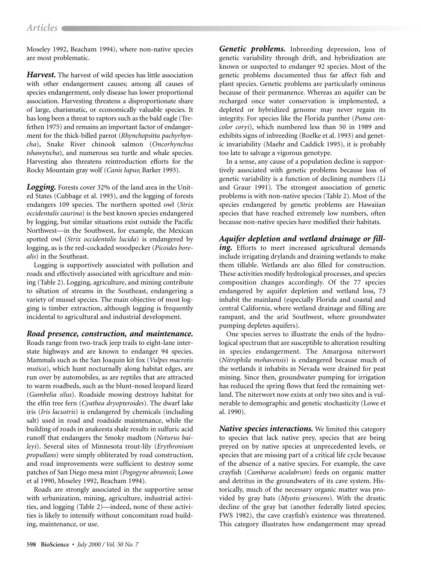Moseley 1992, Beacham 1994), where non-native species are most problematic.

*Harvest.* The harvest of wild species has little association with other endangerment causes; among all causes of species endangerment, only disease has lower proportional association. Harvesting threatens a disproportionate share of large, charismatic, or economically valuable species. It has long been a threat to raptors such as the bald eagle (Trefethen 1975) and remains an important factor of endangerment for the thick-billed parrot (*Rhynchopsitta pachyrhyncha*), Snake River chinook salmon (*Oncorhynchus tshawytscha*), and numerous sea turtle and whale species. Harvesting also threatens reintroduction efforts for the Rocky Mountain gray wolf (*Canis lupus*; Barker 1993).

*Logging.* Forests cover 32% of the land area in the United States (Cubbage et al. 1993), and the logging of forests endangers 109 species. The northern spotted owl (*Strix occidentalis caurina*) is the best known species endangered by logging, but similar situations exist outside the Pacific Northwest—in the Southwest, for example, the Mexican spotted owl (*Strix occidentalis lucida*) is endangered by logging, as is the red-cockaded woodpecker (*Picoides borealis*) in the Southeast.

Logging is supportively associated with pollution and roads and effectively associated with agriculture and mining (Table 2). Logging, agriculture, and mining contribute to siltation of streams in the Southeast, endangering a variety of mussel species. The main objective of most logging is timber extraction, although logging is frequently incidental to agricultural and industrial development.

*Road presence, construction, and maintenance.*

Roads range from two-track jeep trails to eight-lane interstate highways and are known to endanger 94 species. Mammals such as the San Joaquin kit fox (*Vulpes macrotis mutica*), which hunt nocturnally along habitat edges, are run over by automobiles, as are reptiles that are attracted to warm roadbeds, such as the blunt-nosed leopard lizard (*Gambelia silus*). Roadside mowing destroys habitat for the elfin tree fern (*Cyathea dryopteroides*). The dwarf lake iris (*Iris lacustris*) is endangered by chemicals (including salt) used in road and roadside maintenance, while the building of roads in anakeesta shale results in sulfuric acid runoff that endangers the Smoky madtom (*Noturus baileyi*). Several sites of Minnesota trout-lily (*Erythronium propullans*) were simply obliterated by road construction, and road improvements were sufficient to destroy some patches of San Diego mesa mint (*Pogogyne abramsii*; Lowe et al 1990, Moseley 1992, Beacham 1994).

Roads are strongly associated in the supportive sense with urbanization, mining, agriculture, industrial activities, and logging (Table 2)—indeed, none of these activities is likely to intensify without concomitant road building, maintenance, or use.

*Genetic problems.* Inbreeding depression, loss of genetic variability through drift, and hybridization are known or suspected to endanger 92 species. Most of the genetic problems documented thus far affect fish and plant species. Genetic problems are particularly ominous because of their permanence. Whereas an aquifer can be recharged once water conservation is implemented, a depleted or hybridized genome may never regain its integrity. For species like the Florida panther (*Puma concolor coryi*), which numbered less than 50 in 1989 and exhibits signs of inbreeding (Roelke et al. 1993) and genetic invariability (Maehr and Caddick 1995), it is probably too late to salvage a vigorous genotype.

In a sense, any cause of a population decline is supportively associated with genetic problems because loss of genetic variability is a function of declining numbers (Li and Graur 1991). The strongest association of genetic problems is with non-native species (Table 2). Most of the species endangered by genetic problems are Hawaiian species that have reached extremely low numbers, often because non-native species have modified their habitats.

*Aquifer depletion and wetland drainage or fill*ing. Efforts to meet increased agricultural demands include irrigating drylands and draining wetlands to make them tillable. Wetlands are also filled for construction. These activities modify hydrological processes, and species composition changes accordingly. Of the 77 species endangered by aquifer depletion and wetland loss, 73 inhabit the mainland (especially Florida and coastal and central California, where wetland drainage and filling are rampant, and the arid Southwest, where groundwater pumping depletes aquifers).

One species serves to illustrate the ends of the hydrological spectrum that are susceptible to alteration resulting in species endangerment. The Amargosa niterwort (*Nitrophila mohavensis*) is endangered because much of the wetlands it inhabits in Nevada were drained for peat mining. Since then, groundwater pumping for irrigation has reduced the spring flows that feed the remaining wetland. The niterwort now exists at only two sites and is vulnerable to demographic and genetic stochasticity (Lowe et al. 1990).

*Native species interactions.* We limited this category to species that lack native prey, species that are being preyed on by native species at unprecedented levels, or species that are missing part of a critical life cycle because of the absence of a native species. For example, the cave crayfish (*Cambarus aculabrum*) feeds on organic matter and detritus in the groundwaters of its cave system. Historically, much of the necessary organic matter was provided by gray bats (*Myotis grisescens*). With the drastic decline of the gray bat (another federally listed species; FWS 1982), the cave crayfish's existence was threatened. This category illustrates how endangerment may spread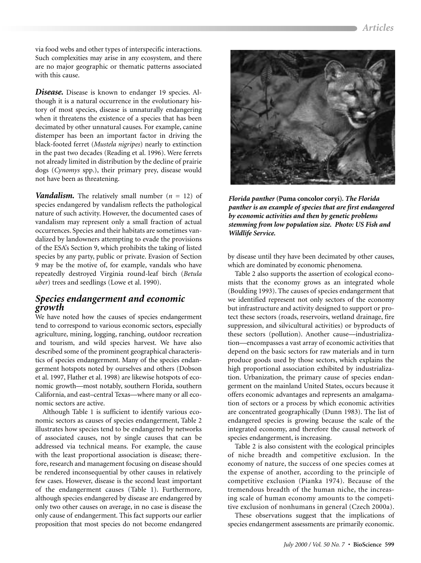via food webs and other types of interspecific interactions. Such complexities may arise in any ecosystem, and there are no major geographic or thematic patterns associated with this cause.

**Disease.** Disease is known to endanger 19 species. Although it is a natural occurrence in the evolutionary history of most species, disease is unnaturally endangering when it threatens the existence of a species that has been decimated by other unnatural causes. For example, canine distemper has been an important factor in driving the black-footed ferret (*Mustela nigripes*) nearly to extinction in the past two decades (Reading et al. 1996). Were ferrets not already limited in distribution by the decline of prairie dogs (*Cynomys* spp.), their primary prey, disease would not have been as threatening.

*Vandalism.* The relatively small number  $(n = 12)$  of species endangered by vandalism reflects the pathological nature of such activity. However, the documented cases of vandalism may represent only a small fraction of actual occurrences. Species and their habitats are sometimes vandalized by landowners attempting to evade the provisions of the ESA's Section 9, which prohibits the taking of listed species by any party, public or private. Evasion of Section 9 may be the motive of, for example, vandals who have repeatedly destroyed Virginia round-leaf birch (*Betula uber*) trees and seedlings (Lowe et al. 1990).

### *Species endangerment and economic growth*

We have noted how the causes of species endangerment tend to correspond to various economic sectors, especially agriculture, mining, logging, ranching, outdoor recreation and tourism, and wild species harvest. We have also described some of the prominent geographical characteristics of species endangerment. Many of the species endangerment hotspots noted by ourselves and others (Dobson et al. 1997, Flather et al. 1998) are likewise hotspots of economic growth—most notably, southern Florida, southern California, and east–central Texas—where many or all economic sectors are active.

Although Table 1 is sufficient to identify various economic sectors as causes of species endangerment, Table 2 illustrates how species tend to be endangered by networks of associated causes, not by single causes that can be addressed via technical means. For example, the cause with the least proportional association is disease; therefore, research and management focusing on disease should be rendered inconsequential by other causes in relatively few cases. However, disease is the second least important of the endangerment causes (Table 1). Furthermore, although species endangered by disease are endangered by only two other causes on average, in no case is disease the only cause of endangerment. This fact supports our earlier proposition that most species do not become endangered



*Florida panther* **(Puma concolor coryi)***. The Florida panther is an example of species that are first endangered by economic activities and then by genetic problems stemming from low population size. Photo: US Fish and Wildlife Service.*

by disease until they have been decimated by other causes, which are dominated by economic phenomena.

Table 2 also supports the assertion of ecological economists that the economy grows as an integrated whole (Boulding 1993). The causes of species endangerment that we identified represent not only sectors of the economy but infrastructure and activity designed to support or protect these sectors (roads, reservoirs, wetland drainage, fire suppression, and silvicultural activities) or byproducts of these sectors (pollution). Another cause—industrialization—encompasses a vast array of economic activities that depend on the basic sectors for raw materials and in turn produce goods used by those sectors, which explains the high proportional association exhibited by industrialization. Urbanization, the primary cause of species endangerment on the mainland United States, occurs because it offers economic advantages and represents an amalgamation of sectors or a process by which economic activities are concentrated geographically (Dunn 1983). The list of endangered species is growing because the scale of the integrated economy, and therefore the causal network of species endangerment, is increasing.

Table 2 is also consistent with the ecological principles of niche breadth and competitive exclusion. In the economy of nature, the success of one species comes at the expense of another, according to the principle of competitive exclusion (Pianka 1974). Because of the tremendous breadth of the human niche, the increasing scale of human economy amounts to the competitive exclusion of nonhumans in general (Czech 2000a).

These observations suggest that the implications of species endangerment assessments are primarily economic.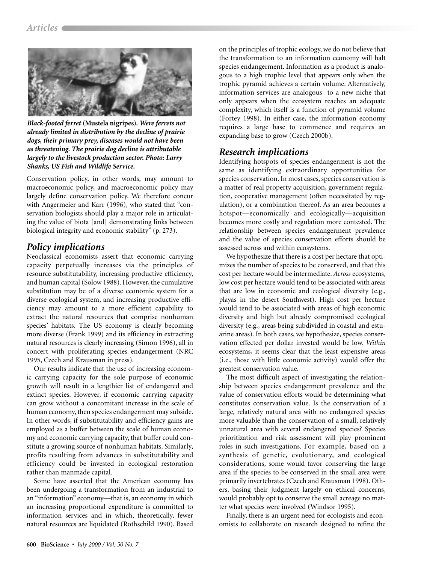

*Black-footed ferret* **(Mustela nigripes)***. Were ferrets not already limited in distribution by the decline of prairie dogs, their primary prey, diseases would not have been as threatening. The prairie dog decline is attributable largely to the livestock production sector. Photo: Larry Shanks, US Fish and Wildlife Service.*

Conservation policy, in other words, may amount to macroeconomic policy, and macroeconomic policy may largely define conservation policy. We therefore concur with Angermeier and Karr (1996), who stated that "conservation biologists should play a major role in articulating the value of biota [and] demonstrating links between biological integrity and economic stability" (p. 273).

# *Policy implications*

Neoclassical economists assert that economic carrying capacity perpetually increases via the principles of resource substitutability, increasing productive efficiency, and human capital (Solow 1988). However, the cumulative substitution may be of a diverse economic system for a diverse ecological system, and increasing productive efficiency may amount to a more efficient capability to extract the natural resources that comprise nonhuman species' habitats. The US economy is clearly becoming more diverse (Frank 1999) and its efficiency in extracting natural resources is clearly increasing (Simon 1996), all in concert with proliferating species endangerment (NRC 1995, Czech and Krausman in press).

Our results indicate that the use of increasing economic carrying capacity for the sole purpose of economic growth will result in a lengthier list of endangered and extinct species. However, if economic carrying capacity can grow without a concomitant increase in the scale of human economy, then species endangerment may subside. In other words, if substitutability and efficiency gains are employed as a buffer between the scale of human economy and economic carrying capacity, that buffer could constitute a growing source of nonhuman habitats. Similarly, profits resulting from advances in substitutability and efficiency could be invested in ecological restoration rather than manmade capital.

Some have asserted that the American economy has been undergoing a transformation from an industrial to an "information" economy—that is, an economy in which an increasing proportional expenditure is committed to information services and in which, theoretically, fewer natural resources are liquidated (Rothschild 1990). Based on the principles of trophic ecology, we do not believe that the transformation to an information economy will halt species endangerment. Information as a product is analogous to a high trophic level that appears only when the trophic pyramid achieves a certain volume. Alternatively, information services are analogous to a new niche that only appears when the ecosystem reaches an adequate complexity, which itself is a function of pyramid volume (Fortey 1998). In either case, the information economy requires a large base to commence and requires an expanding base to grow (Czech 2000b).

# *Research implications*

Identifying hotspots of species endangerment is not the same as identifying extraordinary opportunities for species conservation. In most cases, species conservation is a matter of real property acquisition, government regulation, cooperative management (often necessitated by regulation), or a combination thereof. As an area becomes a hotspot—economically and ecologically—acquisition becomes more costly and regulation more contested. The relationship between species endangerment prevalence and the value of species conservation efforts should be assessed across and within ecosystems.

We hypothesize that there is a cost per hectare that optimizes the number of species to be conserved, and that this cost per hectare would be intermediate. *Across* ecosystems, low cost per hectare would tend to be associated with areas that are low in economic and ecological diversity (e.g., playas in the desert Southwest). High cost per hectare would tend to be associated with areas of high economic diversity and high but already compromised ecological diversity (e.g., areas being subdivided in coastal and estuarine areas). In both cases, we hypothesize, species conservation effected per dollar invested would be low. *Within* ecosystems, it seems clear that the least expensive areas (i.e., those with little economic activity) would offer the greatest conservation value.

The most difficult aspect of investigating the relationship between species endangerment prevalence and the value of conservation efforts would be determining what constitutes conservation value. Is the conservation of a large, relatively natural area with no endangered species more valuable than the conservation of a small, relatively unnatural area with several endangered species? Species prioritization and risk assessment will play prominent roles in such investigations. For example, based on a synthesis of genetic, evolutionary, and ecological considerations, some would favor conserving the large area if the species to be conserved in the small area were primarily invertebrates (Czech and Krausman 1998). Others, basing their judgment largely on ethical concerns, would probably opt to conserve the small acreage no matter what species were involved (Windsor 1995).

Finally, there is an urgent need for ecologists and economists to collaborate on research designed to refine the